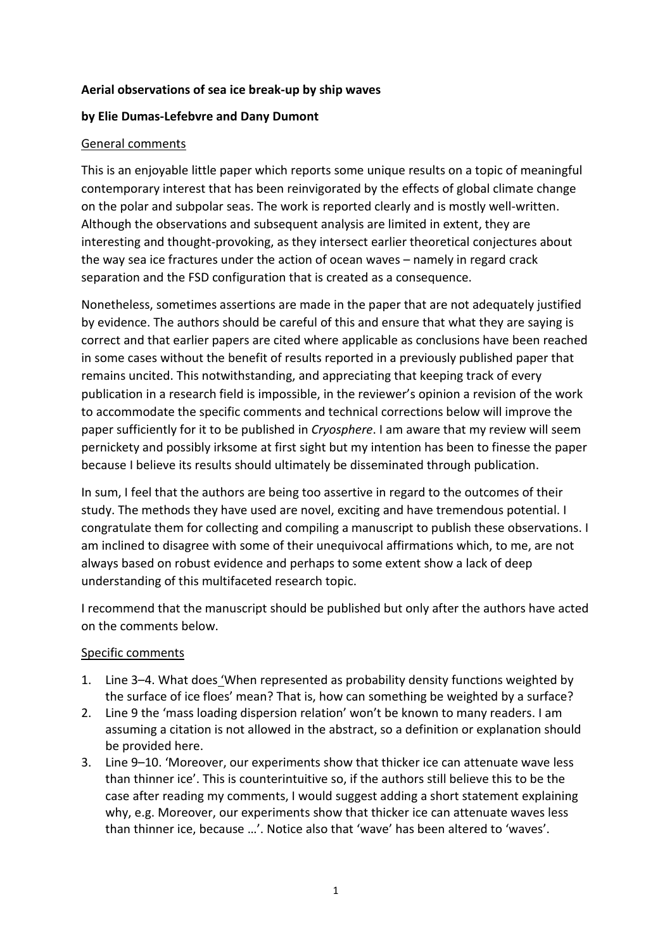# **Aerial observations of sea ice break-up by ship waves**

# **by Elie Dumas-Lefebvre and Dany Dumont**

# General comments

This is an enjoyable little paper which reports some unique results on a topic of meaningful contemporary interest that has been reinvigorated by the effects of global climate change on the polar and subpolar seas. The work is reported clearly and is mostly well-written. Although the observations and subsequent analysis are limited in extent, they are interesting and thought-provoking, as they intersect earlier theoretical conjectures about the way sea ice fractures under the action of ocean waves – namely in regard crack separation and the FSD configuration that is created as a consequence.

Nonetheless, sometimes assertions are made in the paper that are not adequately justified by evidence. The authors should be careful of this and ensure that what they are saying is correct and that earlier papers are cited where applicable as conclusions have been reached in some cases without the benefit of results reported in a previously published paper that remains uncited. This notwithstanding, and appreciating that keeping track of every publication in a research field is impossible, in the reviewer's opinion a revision of the work to accommodate the specific comments and technical corrections below will improve the paper sufficiently for it to be published in *Cryosphere*. I am aware that my review will seem pernickety and possibly irksome at first sight but my intention has been to finesse the paper because I believe its results should ultimately be disseminated through publication.

In sum, I feel that the authors are being too assertive in regard to the outcomes of their study. The methods they have used are novel, exciting and have tremendous potential. I congratulate them for collecting and compiling a manuscript to publish these observations. I am inclined to disagree with some of their unequivocal affirmations which, to me, are not always based on robust evidence and perhaps to some extent show a lack of deep understanding of this multifaceted research topic.

I recommend that the manuscript should be published but only after the authors have acted on the comments below.

#### Specific comments

- 1. Line 3–4. What does 'When represented as probability density functions weighted by the surface of ice floes' mean? That is, how can something be weighted by a surface?
- 2. Line 9 the 'mass loading dispersion relation' won't be known to many readers. I am assuming a citation is not allowed in the abstract, so a definition or explanation should be provided here.
- 3. Line 9–10. 'Moreover, our experiments show that thicker ice can attenuate wave less than thinner ice'. This is counterintuitive so, if the authors still believe this to be the case after reading my comments, I would suggest adding a short statement explaining why, e.g. Moreover, our experiments show that thicker ice can attenuate waves less than thinner ice, because …'. Notice also that 'wave' has been altered to 'waves'.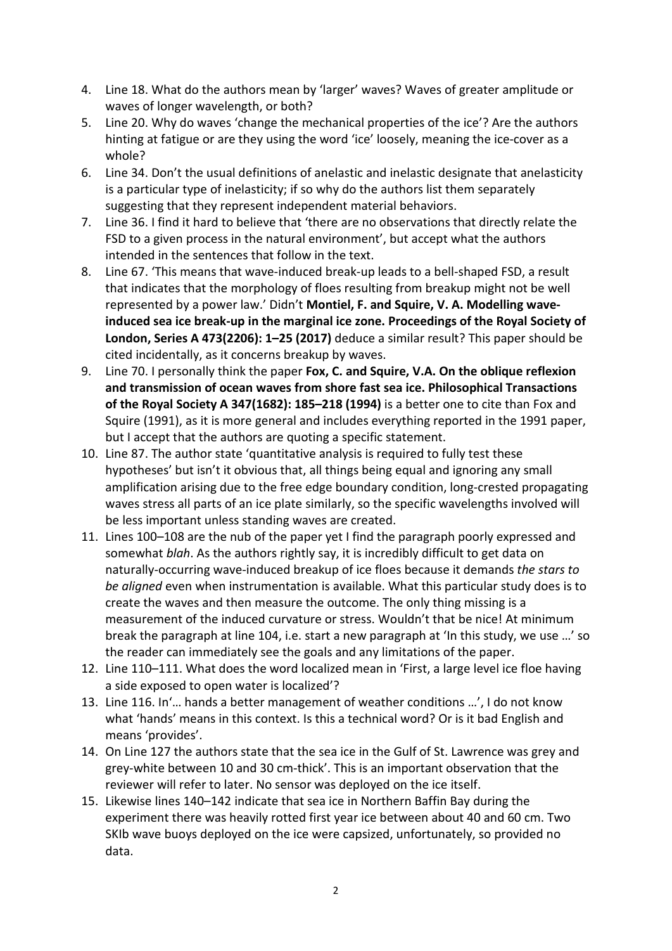- 4. Line 18. What do the authors mean by 'larger' waves? Waves of greater amplitude or waves of longer wavelength, or both?
- 5. Line 20. Why do waves 'change the mechanical properties of the ice'? Are the authors hinting at fatigue or are they using the word 'ice' loosely, meaning the ice-cover as a whole?
- 6. Line 34. Don't the usual definitions of anelastic and inelastic designate that anelasticity is a particular type of inelasticity; if so why do the authors list them separately suggesting that they represent independent material behaviors.
- 7. Line 36. I find it hard to believe that 'there are no observations that directly relate the FSD to a given process in the natural environment', but accept what the authors intended in the sentences that follow in the text.
- 8. Line 67. 'This means that wave-induced break-up leads to a bell-shaped FSD, a result that indicates that the morphology of floes resulting from breakup might not be well represented by a power law.' Didn't **Montiel, F. and Squire, V. A. Modelling waveinduced sea ice break-up in the marginal ice zone. Proceedings of the Royal Society of London, Series A 473(2206): 1–25 (2017)** deduce a similar result? This paper should be cited incidentally, as it concerns breakup by waves.
- 9. Line 70. I personally think the paper **Fox, C. and Squire, V.A. On the oblique reflexion and transmission of ocean waves from shore fast sea ice. Philosophical Transactions of the Royal Society A 347(1682): 185–218 (1994)** is a better one to cite than Fox and Squire (1991), as it is more general and includes everything reported in the 1991 paper, but I accept that the authors are quoting a specific statement.
- 10. Line 87. The author state 'quantitative analysis is required to fully test these hypotheses' but isn't it obvious that, all things being equal and ignoring any small amplification arising due to the free edge boundary condition, long-crested propagating waves stress all parts of an ice plate similarly, so the specific wavelengths involved will be less important unless standing waves are created.
- 11. Lines 100–108 are the nub of the paper yet I find the paragraph poorly expressed and somewhat *blah*. As the authors rightly say, it is incredibly difficult to get data on naturally-occurring wave-induced breakup of ice floes because it demands *the stars to be aligned* even when instrumentation is available. What this particular study does is to create the waves and then measure the outcome. The only thing missing is a measurement of the induced curvature or stress. Wouldn't that be nice! At minimum break the paragraph at line 104, i.e. start a new paragraph at 'In this study, we use …' so the reader can immediately see the goals and any limitations of the paper.
- 12. Line 110–111. What does the word localized mean in 'First, a large level ice floe having a side exposed to open water is localized'?
- 13. Line 116. In'… hands a better management of weather conditions …', I do not know what 'hands' means in this context. Is this a technical word? Or is it bad English and means 'provides'.
- 14. On Line 127 the authors state that the sea ice in the Gulf of St. Lawrence was grey and grey-white between 10 and 30 cm-thick'. This is an important observation that the reviewer will refer to later. No sensor was deployed on the ice itself.
- 15. Likewise lines 140–142 indicate that sea ice in Northern Baffin Bay during the experiment there was heavily rotted first year ice between about 40 and 60 cm. Two SKIb wave buoys deployed on the ice were capsized, unfortunately, so provided no data.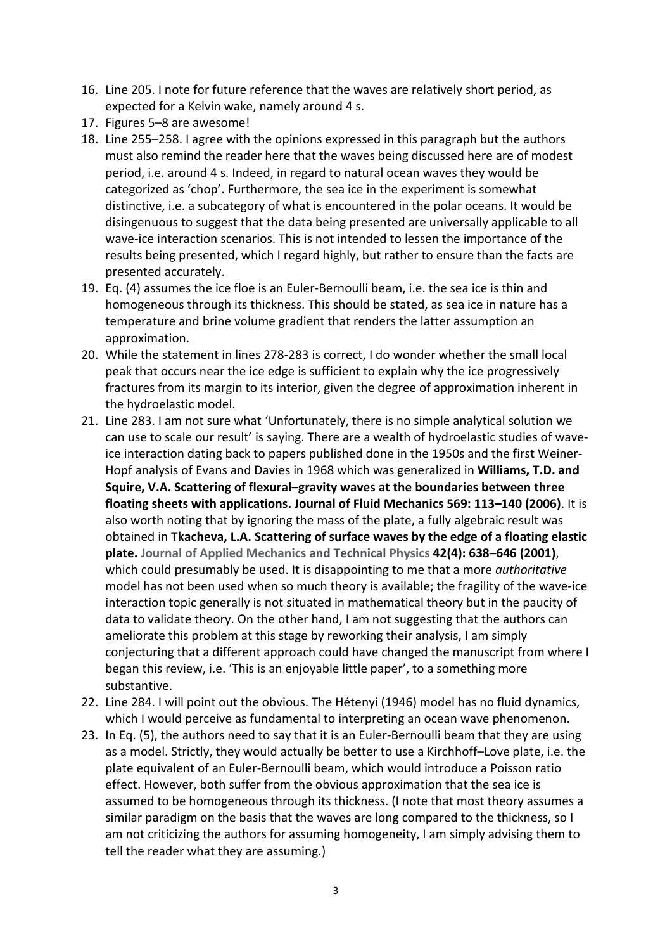- 16. Line 205. I note for future reference that the waves are relatively short period, as expected for a Kelvin wake, namely around 4 s.
- 17. Figures 5–8 are awesome!
- 18. Line 255–258. I agree with the opinions expressed in this paragraph but the authors must also remind the reader here that the waves being discussed here are of modest period, i.e. around 4 s. Indeed, in regard to natural ocean waves they would be categorized as 'chop'. Furthermore, the sea ice in the experiment is somewhat distinctive, i.e. a subcategory of what is encountered in the polar oceans. It would be disingenuous to suggest that the data being presented are universally applicable to all wave-ice interaction scenarios. This is not intended to lessen the importance of the results being presented, which I regard highly, but rather to ensure than the facts are presented accurately.
- 19. Eq. (4) assumes the ice floe is an Euler-Bernoulli beam, i.e. the sea ice is thin and homogeneous through its thickness. This should be stated, as sea ice in nature has a temperature and brine volume gradient that renders the latter assumption an approximation.
- 20. While the statement in lines 278-283 is correct, I do wonder whether the small local peak that occurs near the ice edge is sufficient to explain why the ice progressively fractures from its margin to its interior, given the degree of approximation inherent in the hydroelastic model.
- 21. Line 283. I am not sure what 'Unfortunately, there is no simple analytical solution we can use to scale our result' is saying. There are a wealth of hydroelastic studies of waveice interaction dating back to papers published done in the 1950s and the first Weiner-Hopf analysis of Evans and Davies in 1968 which was generalized in **Williams, T.D. and Squire, V.A. Scattering of flexural–gravity waves at the boundaries between three floating sheets with applications. Journal of Fluid Mechanics 569: 113–140 (2006)**. It is also worth noting that by ignoring the mass of the plate, a fully algebraic result was obtained in **Tkacheva, L.A. Scattering of surface waves by the edge of a floating elastic plate. Journal of Applied Mechanics and Technical Physics 42(4): 638–646 (2001)**, which could presumably be used. It is disappointing to me that a more *authoritative* model has not been used when so much theory is available; the fragility of the wave-ice interaction topic generally is not situated in mathematical theory but in the paucity of data to validate theory. On the other hand, I am not suggesting that the authors can ameliorate this problem at this stage by reworking their analysis, I am simply conjecturing that a different approach could have changed the manuscript from where I began this review, i.e. 'This is an enjoyable little paper', to a something more substantive.
- 22. Line 284. I will point out the obvious. The Hétenyi (1946) model has no fluid dynamics, which I would perceive as fundamental to interpreting an ocean wave phenomenon.
- 23. In Eq. (5), the authors need to say that it is an Euler-Bernoulli beam that they are using as a model. Strictly, they would actually be better to use a Kirchhoff–Love plate, i.e. the plate equivalent of an Euler-Bernoulli beam, which would introduce a Poisson ratio effect. However, both suffer from the obvious approximation that the sea ice is assumed to be homogeneous through its thickness. (I note that most theory assumes a similar paradigm on the basis that the waves are long compared to the thickness, so I am not criticizing the authors for assuming homogeneity, I am simply advising them to tell the reader what they are assuming.)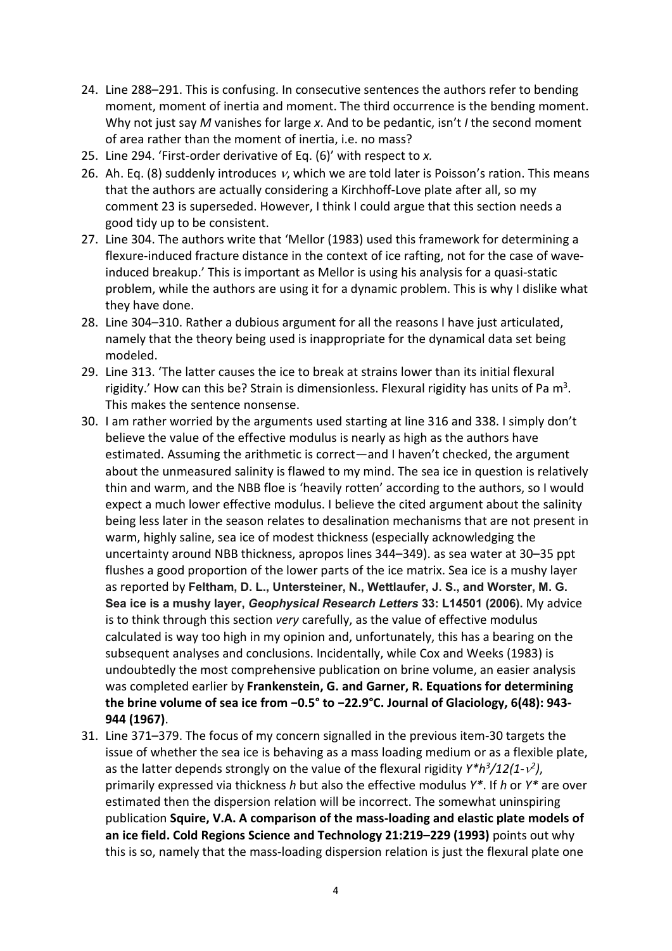- 24. Line 288–291. This is confusing. In consecutive sentences the authors refer to bending moment, moment of inertia and moment. The third occurrence is the bending moment. Why not just say *M* vanishes for large *x*. And to be pedantic, isn't *I* the second moment of area rather than the moment of inertia, i.e. no mass?
- 25. Line 294. 'First-order derivative of Eq. (6)' with respect to *x.*
- 26. Ah. Eq. (8) suddenly introduces  $v$ , which we are told later is Poisson's ration. This means that the authors are actually considering a Kirchhoff-Love plate after all, so my comment 23 is superseded. However, I think I could argue that this section needs a good tidy up to be consistent.
- 27. Line 304. The authors write that 'Mellor (1983) used this framework for determining a flexure-induced fracture distance in the context of ice rafting, not for the case of waveinduced breakup.' This is important as Mellor is using his analysis for a quasi-static problem, while the authors are using it for a dynamic problem. This is why I dislike what they have done.
- 28. Line 304–310. Rather a dubious argument for all the reasons I have just articulated, namely that the theory being used is inappropriate for the dynamical data set being modeled.
- 29. Line 313. 'The latter causes the ice to break at strains lower than its initial flexural rigidity.' How can this be? Strain is dimensionless. Flexural rigidity has units of Pa  $m^3$ . This makes the sentence nonsense.
- 30. I am rather worried by the arguments used starting at line 316 and 338. I simply don't believe the value of the effective modulus is nearly as high as the authors have estimated. Assuming the arithmetic is correct―and I haven't checked, the argument about the unmeasured salinity is flawed to my mind. The sea ice in question is relatively thin and warm, and the NBB floe is 'heavily rotten' according to the authors, so I would expect a much lower effective modulus. I believe the cited argument about the salinity being less later in the season relates to desalination mechanisms that are not present in warm, highly saline, sea ice of modest thickness (especially acknowledging the uncertainty around NBB thickness, apropos lines 344–349). as sea water at 30–35 ppt flushes a good proportion of the lower parts of the ice matrix. Sea ice is a mushy layer as reported by **Feltham, D. L., Untersteiner, N., Wettlaufer, J. S., and Worster, M. G. Sea ice is a mushy layer,** *Geophysical Research Letters* **33: L14501 (2006).** My advice is to think through this section *very* carefully, as the value of effective modulus calculated is way too high in my opinion and, unfortunately, this has a bearing on the subsequent analyses and conclusions. Incidentally, while Cox and Weeks (1983) is undoubtedly the most comprehensive publication on brine volume, an easier analysis was completed earlier by **Frankenstein, G. and Garner, R. Equations for determining the brine volume of sea ice from −0.5° to −22.9°C. Journal of Glaciology, 6(48): 943- 944 (1967)**.
- 31. Line 371–379. The focus of my concern signalled in the previous item-30 targets the issue of whether the sea ice is behaving as a mass loading medium or as a flexible plate, as the latter depends strongly on the value of the flexural rigidity *Y\*h3/12(1-*ν*2)*, primarily expressed via thickness *h* but also the effective modulus *Y\**. If *h* or *Y\** are over estimated then the dispersion relation will be incorrect. The somewhat uninspiring publication **Squire, V.A. A comparison of the mass-loading and elastic plate models of an ice field. Cold Regions Science and Technology 21:219–229 (1993)** points out why this is so, namely that the mass-loading dispersion relation is just the flexural plate one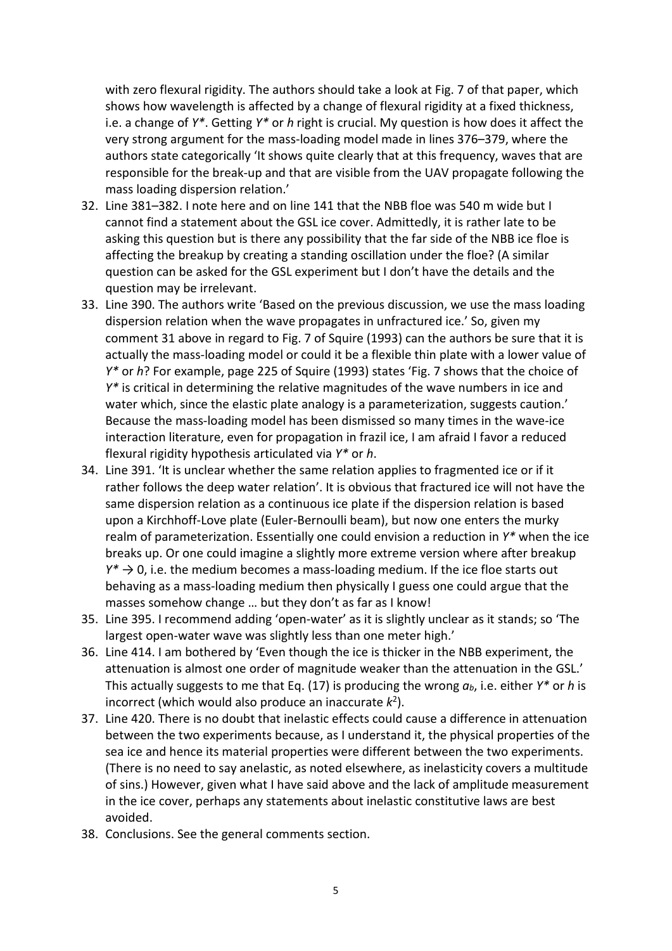with zero flexural rigidity. The authors should take a look at Fig. 7 of that paper, which shows how wavelength is affected by a change of flexural rigidity at a fixed thickness, i.e. a change of *Y\**. Getting *Y\** or *h* right is crucial. My question is how does it affect the very strong argument for the mass-loading model made in lines 376–379, where the authors state categorically 'It shows quite clearly that at this frequency, waves that are responsible for the break-up and that are visible from the UAV propagate following the mass loading dispersion relation.'

- 32. Line 381–382. I note here and on line 141 that the NBB floe was 540 m wide but I cannot find a statement about the GSL ice cover. Admittedly, it is rather late to be asking this question but is there any possibility that the far side of the NBB ice floe is affecting the breakup by creating a standing oscillation under the floe? (A similar question can be asked for the GSL experiment but I don't have the details and the question may be irrelevant.
- 33. Line 390. The authors write 'Based on the previous discussion, we use the mass loading dispersion relation when the wave propagates in unfractured ice.' So, given my comment 31 above in regard to Fig. 7 of Squire (1993) can the authors be sure that it is actually the mass-loading model or could it be a flexible thin plate with a lower value of *Y\** or *h*? For example, page 225 of Squire (1993) states 'Fig. 7 shows that the choice of *Y\** is critical in determining the relative magnitudes of the wave numbers in ice and water which, since the elastic plate analogy is a parameterization, suggests caution.' Because the mass-loading model has been dismissed so many times in the wave-ice interaction literature, even for propagation in frazil ice, I am afraid I favor a reduced flexural rigidity hypothesis articulated via *Y\** or *h*.
- 34. Line 391. 'It is unclear whether the same relation applies to fragmented ice or if it rather follows the deep water relation'. It is obvious that fractured ice will not have the same dispersion relation as a continuous ice plate if the dispersion relation is based upon a Kirchhoff-Love plate (Euler-Bernoulli beam), but now one enters the murky realm of parameterization. Essentially one could envision a reduction in *Y\** when the ice breaks up. Or one could imagine a slightly more extreme version where after breakup  $Y^* \to 0$ , i.e. the medium becomes a mass-loading medium. If the ice floe starts out behaving as a mass-loading medium then physically I guess one could argue that the masses somehow change … but they don't as far as I know!
- 35. Line 395. I recommend adding 'open-water' as it is slightly unclear as it stands; so 'The largest open-water wave was slightly less than one meter high.'
- 36. Line 414. I am bothered by 'Even though the ice is thicker in the NBB experiment, the attenuation is almost one order of magnitude weaker than the attenuation in the GSL.' This actually suggests to me that Eq. (17) is producing the wrong  $a_b$ , i.e. either  $Y^*$  or h is incorrect (which would also produce an inaccurate *k*2).
- 37. Line 420. There is no doubt that inelastic effects could cause a difference in attenuation between the two experiments because, as I understand it, the physical properties of the sea ice and hence its material properties were different between the two experiments. (There is no need to say anelastic, as noted elsewhere, as inelasticity covers a multitude of sins.) However, given what I have said above and the lack of amplitude measurement in the ice cover, perhaps any statements about inelastic constitutive laws are best avoided.
- 38. Conclusions. See the general comments section.